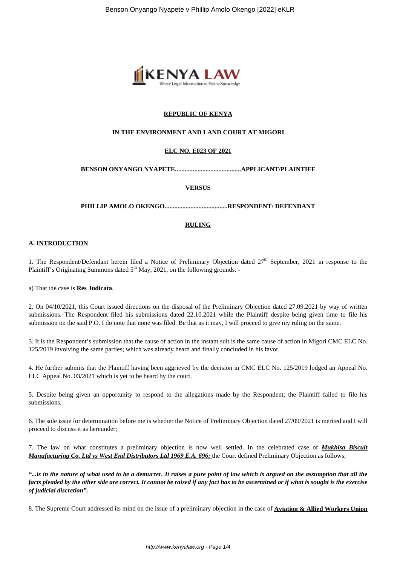

# **REPUBLIC OF KENYA**

### **IN THE ENVIRONMENT AND LAND COURT AT MIGORI**

# **ELC NO. E023 OF 2021**

**BENSON ONYANGO NYAPETE.........................................APPLICANT/PLAINTIFF**

**VERSUS**

**PHILLIP AMOLO OKENGO.......................................RESPONDENT/ DEFENDANT**

### **RULING**

#### **A. INTRODUCTION**

1. The Respondent/Defendant herein filed a Notice of Preliminary Objection dated 27<sup>th</sup> September, 2021 in response to the Plaintiff's Originating Summons dated  $5<sup>th</sup>$  May, 2021, on the following grounds: -

a) That the case is **Res Judicata**.

2. On 04/10/2021, this Court issued directions on the disposal of the Preliminary Objection dated 27.09.2021 by way of written submissions. The Respondent filed his submissions dated 22.10.2021 while the Plaintiff despite being given time to file his submission on the said P.O. I do note that none was filed. Be that as it may, I will proceed to give my ruling on the same.

3. It is the Respondent's submission that the cause of action in the instant suit is the same cause of action in Migori CMC ELC No. 125/2019 involving the same parties; which was already heard and finally concluded in his favor.

4. He further submits that the Plaintiff having been aggrieved by the decision in CMC ELC No. 125/2019 lodged an Appeal No. ELC Appeal No. 03/2021 which is yet to be heard by the court.

5. Despite being given an opportunity to respond to the allegations made by the Respondent; the Plaintiff failed to file his submissions.

6. The sole issue for determination before me is whether the Notice of Preliminary Objection dated 27/09/2021 is merited and I will proceed to discuss it as hereunder;

7. The law on what constitutes a preliminary objection is now well settled. In the celebrated case of *Mukhisa Biscuit Manufacturing Co. Ltd vs West End Distributors Ltd 1969 E.A. 696;* the Court defined Preliminary Objection as follows;

*"...is in the nature of what used to be a demurrer. It raises a pure point of law which is argued on the assumption that all the facts pleaded by the other side are correct. It cannot be raised if any fact has to be ascertained or if what is sought is the exercise of judicial discretion".*

8. The Supreme Court addressed its mind on the issue of a preliminary objection in the case of **Aviation & Allied Workers Union**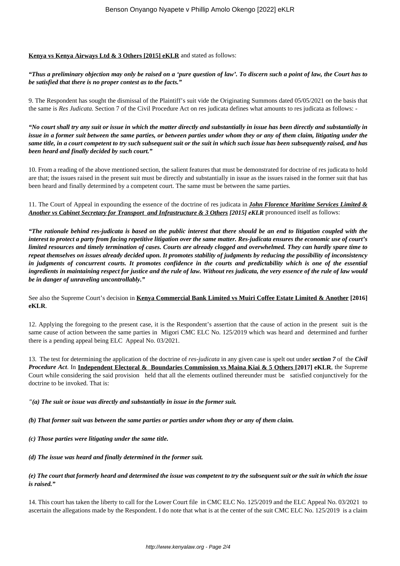### **Kenya vs Kenya Airways Ltd & 3 Others [2015] eKLR** and stated as follows:

# *"Thus a preliminary objection may only be raised on a 'pure question of law'. To discern such a point of law, the Court has to be satisfied that there is no proper contest as to the facts."*

9. The Respondent has sought the dismissal of the Plaintiff's suit vide the Originating Summons dated 05/05/2021 on the basis that the same is *Res Judicata.* Section 7 of the Civil Procedure Act on res judicata defines what amounts to res judicata as follows: -

*"No court shall try any suit or issue in which the matter directly and substantially in issue has been directly and substantially in issue in a former suit between the same parties, or between parties under whom they or any of them claim, litigating under the same title, in a court competent to try such subsequent suit or the suit in which such issue has been subsequently raised, and has been heard and finally decided by such court."* 

10. From a reading of the above mentioned section, the salient features that must be demonstrated for doctrine of res judicata to hold are that; the issues raised in the present suit must be directly and substantially in issue as the issues raised in the former suit that has been heard and finally determined by a competent court. The same must be between the same parties.

11. The Court of Appeal in expounding the essence of the doctrine of res judicata in *John Florence Maritime Services Limited & Another vs Cabinet Secretary for Transport and Infrastructure & 3 Others [2015] eKLR* pronounced itself as follows:

*"The rationale behind res-judicata is based on the public interest that there should be an end to litigation coupled with the interest to protect a party from facing repetitive litigation over the same matter. Res-judicata ensures the economic use of court's limited resources and timely termination of cases. Courts are already clogged and overwhelmed. They can hardly spare time to repeat themselves on issues already decided upon. It promotes stability of judgments by reducing the possibility of inconsistency in judgments of concurrent courts. It promotes confidence in the courts and predictability which is one of the essential ingredients in maintaining respect for justice and the rule of law. Without res judicata, the very essence of the rule of law would be in danger of unraveling uncontrollably."*

See also the Supreme Court's decision in **Kenya Commercial Bank Limited vs Muiri Coffee Estate Limited & Another [2016] eKLR**.

12. Applying the foregoing to the present case, it is the Respondent's assertion that the cause of action in the present suit is the same cause of action between the same parties in Migori CMC ELC No. 125/2019 which was heard and determined and further there is a pending appeal being ELC Appeal No. 03/2021.

13. The test for determining the application of the doctrine of *res-judicata* in any given case is spelt out under *section 7* of the *Civil Procedure Act*. In **Independent Electoral & Boundaries Commission vs Maina Kiai & 5 Others [2017] eKLR**, the Supreme Court while considering the said provision held that all the elements outlined thereunder must be satisfied conjunctively for the doctrine to be invoked. That is:

#### *"(a) The suit or issue was directly and substantially in issue in the former suit.*

- *(b) That former suit was between the same parties or parties under whom they or any of them claim.*
- *(c) Those parties were litigating under the same title.*

#### *(d) The issue was heard and finally determined in the former suit.*

#### *(e) The court that formerly heard and determined the issue was competent to try the subsequent suit or the suit in which the issue is raised."*

14. This court has taken the liberty to call for the Lower Court file in CMC ELC No. 125/2019 and the ELC Appeal No. 03/2021 to ascertain the allegations made by the Respondent. I do note that what is at the center of the suit CMC ELC No. 125/2019 is a claim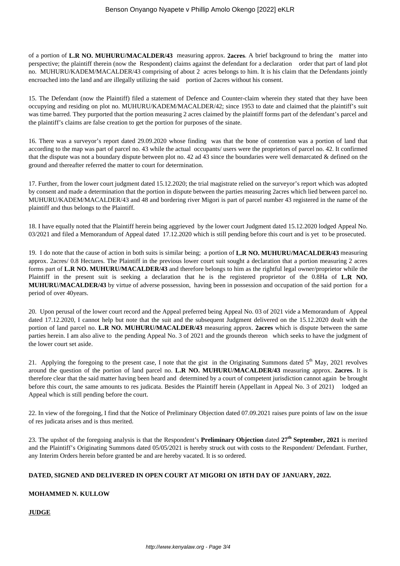of a portion of **L.R NO. MUHURU/MACALDER/43** measuring approx. **2acres**. A brief background to bring the matter into perspective; the plaintiff therein (now the Respondent) claims against the defendant for a declaration order that part of land plot no. MUHURU/KADEM/MACALDER/43 comprising of about 2 acres belongs to him. It is his claim that the Defendants jointly encroached into the land and are illegally utilizing the said portion of 2acres without his consent.

15. The Defendant (now the Plaintiff) filed a statement of Defence and Counter-claim wherein they stated that they have been occupying and residing on plot no. MUHURU/KADEM/MACALDER/42; since 1953 to date and claimed that the plaintiff's suit was time barred. They purported that the portion measuring 2 acres claimed by the plaintiff forms part of the defendant's parcel and the plaintiff's claims are false creation to get the portion for purposes of the sinate.

16. There was a surveyor's report dated 29.09.2020 whose finding was that the bone of contention was a portion of land that according to the map was part of parcel no. 43 while the actual occupants/ users were the proprietors of parcel no. 42. It confirmed that the dispute was not a boundary dispute between plot no. 42 ad 43 since the boundaries were well demarcated & defined on the ground and thereafter referred the matter to court for determination.

17. Further, from the lower court judgment dated 15.12.2020; the trial magistrate relied on the surveyor's report which was adopted by consent and made a determination that the portion in dispute between the parties measuring 2acres which lied between parcel no. MUHURU/KADEM/MACALDER/43 and 48 and bordering river Migori is part of parcel number 43 registered in the name of the plaintiff and thus belongs to the Plaintiff.

18. I have equally noted that the Plaintiff herein being aggrieved by the lower court Judgment dated 15.12.2020 lodged Appeal No. 03/2021 and filed a Memorandum of Appeal dated 17.12.2020 which is still pending before this court and is yet to be prosecuted.

19. I do note that the cause of action in both suits is similar being; a portion of **L.R NO. MUHURU/MACALDER/43** measuring approx. 2acres/ 0.8 Hectares. The Plaintiff in the previous lower court suit sought a declaration that a portion measuring 2 acres forms part of **L.R NO. MUHURU/MACALDER/43** and therefore belongs to him as the rightful legal owner/proprietor while the Plaintiff in the present suit is seeking a declaration that he is the registered proprietor of the 0.8Ha of **L.R NO. MUHURU/MACALDER/43** by virtue of adverse possession, having been in possession and occupation of the said portion for a period of over 40years.

20. Upon perusal of the lower court record and the Appeal preferred being Appeal No. 03 of 2021 vide a Memorandum of Appeal dated 17.12.2020, I cannot help but note that the suit and the subsequent Judgment delivered on the 15.12.2020 dealt with the portion of land parcel no. **L.R NO. MUHURU/MACALDER/43** measuring approx. **2acres** which is dispute between the same parties herein. I am also alive to the pending Appeal No. 3 of 2021 and the grounds thereon which seeks to have the judgment of the lower court set aside.

21. Applying the foregoing to the present case, I note that the gist in the Originating Summons dated  $5<sup>th</sup>$  May, 2021 revolves around the question of the portion of land parcel no. **L.R NO. MUHURU/MACALDER/43** measuring approx. **2acres**. It is therefore clear that the said matter having been heard and determined by a court of competent jurisdiction cannot again be brought before this court, the same amounts to res judicata. Besides the Plaintiff herein (Appellant in Appeal No. 3 of 2021) lodged an Appeal which is still pending before the court.

22. In view of the foregoing, I find that the Notice of Preliminary Objection dated 07.09.2021 raises pure points of law on the issue of res judicata arises and is thus merited.

23. The upshot of the foregoing analysis is that the Respondent's **Preliminary Objection** dated **27th September, 2021** is merited and the Plaintiff's Originating Summons dated 05/05/2021 is hereby struck out with costs to the Respondent/ Defendant. Further, any Interim Orders herein before granted be and are hereby vacated. It is so ordered.

#### **DATED, SIGNED AND DELIVERED IN OPEN COURT AT MIGORI ON 18TH DAY OF JANUARY, 2022.**

#### **MOHAMMED N. KULLOW**

**JUDGE**